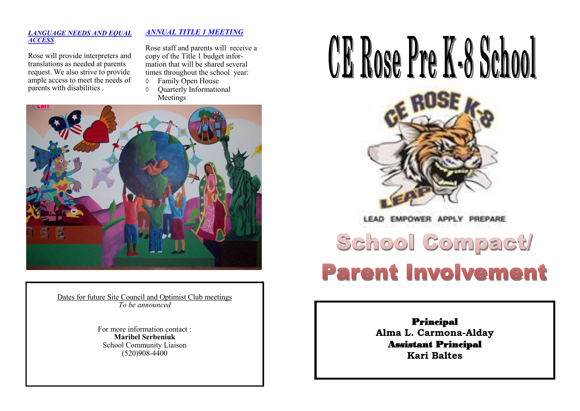# CE Rose Pre K-8 School



**EMPOWER** LEAD

# School Compact **Parent Involvement**

# Principal

**Alma L. Carmona-Alday** Assistant Principal **Kari Baltes**